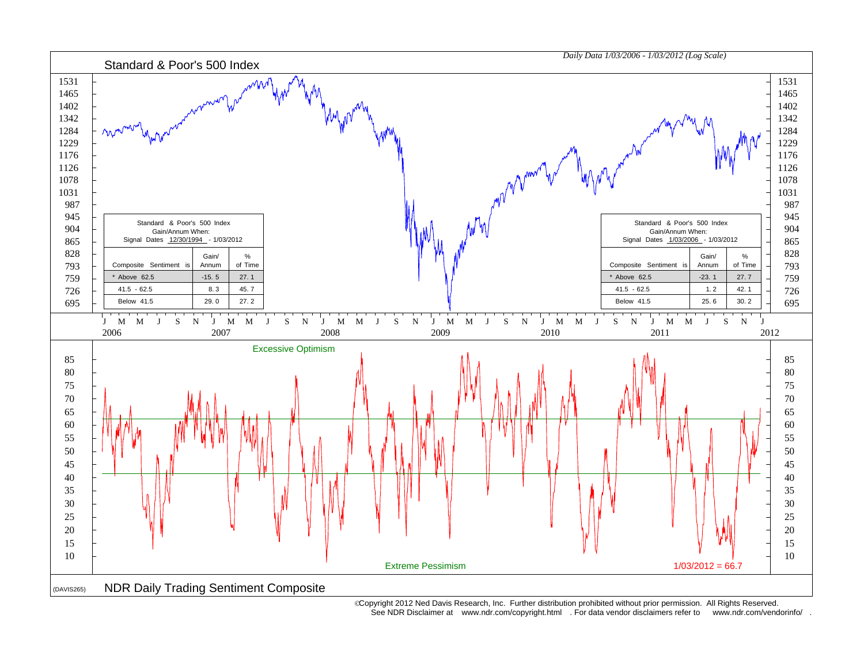

 Copyright 2012 Ned Davis Research, Inc. Further distribution prohibited without prior permission. All Rights Reserved. See NDR Disclaimer at www.ndr.com/copyright.html . For data vendor disclaimers refer to www.ndr.com/vendorinfo/ .